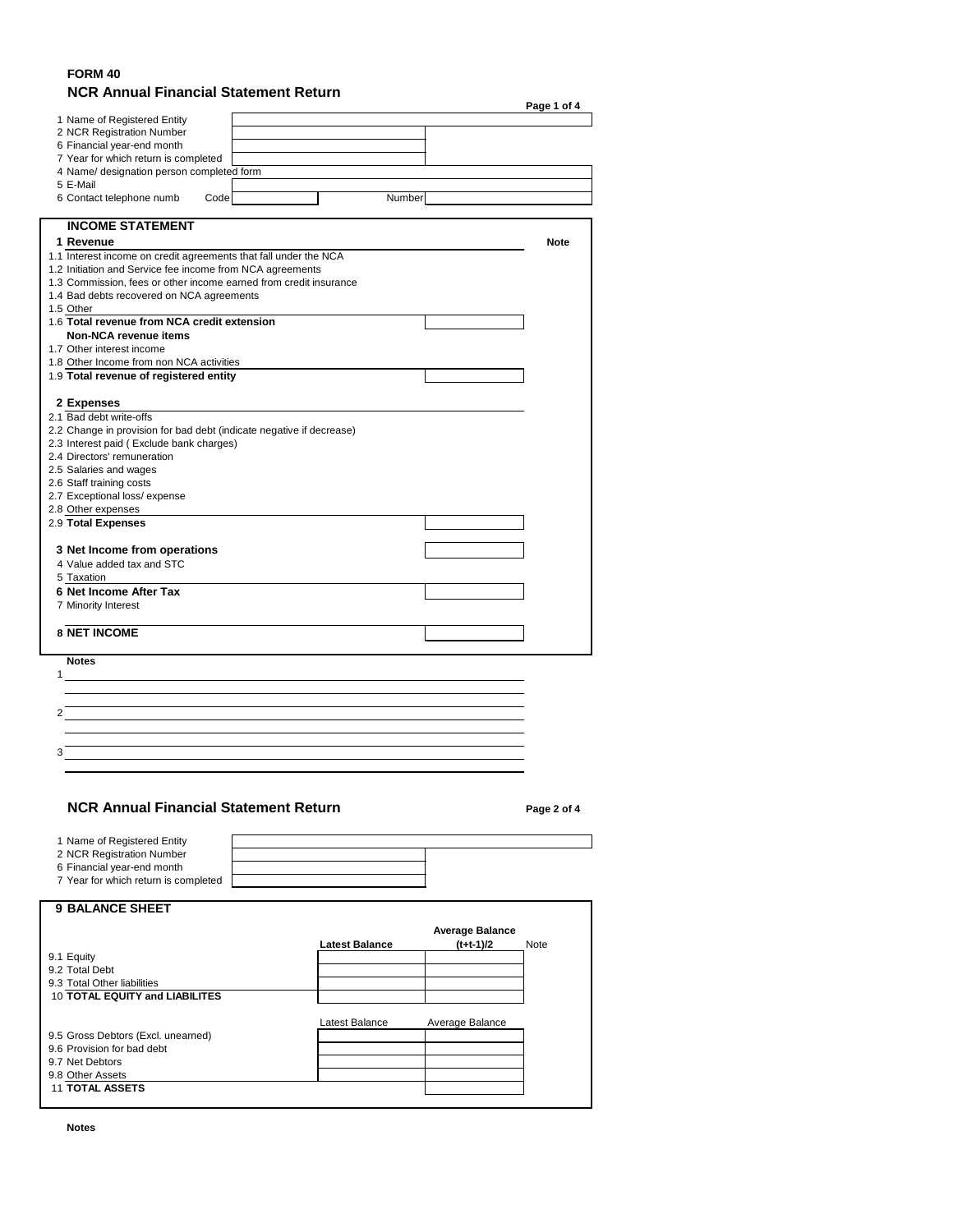### **FORM 40 NCR Annual Financial Statement Return**

|                                                                      |        | Page 1 of 4 |
|----------------------------------------------------------------------|--------|-------------|
| 1 Name of Registered Entity                                          |        |             |
| 2 NCR Registration Number                                            |        |             |
| 6 Financial year-end month                                           |        |             |
| 7 Year for which return is completed                                 |        |             |
| 4 Name/ designation person completed form                            |        |             |
| 5 E-Mail                                                             |        |             |
| 6 Contact telephone numb<br>Code                                     | Number |             |
| <b>INCOME STATEMENT</b>                                              |        |             |
| 1 Revenue                                                            |        | <b>Note</b> |
| 1.1 Interest income on credit agreements that fall under the NCA     |        |             |
| 1.2 Initiation and Service fee income from NCA agreements            |        |             |
| 1.3 Commission, fees or other income earned from credit insurance    |        |             |
| 1.4 Bad debts recovered on NCA agreements                            |        |             |
| 1.5 Other                                                            |        |             |
| 1.6 Total revenue from NCA credit extension                          |        |             |
| <b>Non-NCA revenue items</b>                                         |        |             |
| 1.7 Other interest income                                            |        |             |
| 1.8 Other Income from non NCA activities                             |        |             |
| 1.9 Total revenue of registered entity                               |        |             |
|                                                                      |        |             |
| 2 Expenses                                                           |        |             |
| 2.1 Bad debt write-offs                                              |        |             |
| 2.2 Change in provision for bad debt (indicate negative if decrease) |        |             |
| 2.3 Interest paid (Exclude bank charges)                             |        |             |
| 2.4 Directors' remuneration                                          |        |             |
| 2.5 Salaries and wages                                               |        |             |
| 2.6 Staff training costs                                             |        |             |
| 2.7 Exceptional loss/expense                                         |        |             |
| 2.8 Other expenses<br>2.9 Total Expenses                             |        |             |
|                                                                      |        |             |
|                                                                      |        |             |
| 3 Net Income from operations                                         |        |             |
| 4 Value added tax and STC                                            |        |             |
| 5 Taxation                                                           |        |             |
| <b>6 Net Income After Tax</b>                                        |        |             |
| 7 Minority Interest                                                  |        |             |
| <b>8 NET INCOME</b>                                                  |        |             |
|                                                                      |        |             |
| <b>Notes</b>                                                         |        |             |
|                                                                      |        |             |
|                                                                      |        |             |
| 2                                                                    |        |             |
|                                                                      |        |             |
| 3                                                                    |        |             |
|                                                                      |        |             |
|                                                                      |        |             |
| <b>NCR Annual Financial Statement Return</b>                         |        | Page 2 of 4 |
|                                                                      |        |             |
| 1 Name of Registered Entity                                          |        |             |
| 2 NCR Registration Number                                            |        |             |
| 6 Financial year-end month                                           |        |             |
| 7 Year for which return is completed                                 |        |             |
| <b>9 BALANCE SHEET</b>                                               |        |             |
|                                                                      |        |             |

|                                       |                | <b>Average Balance</b> |             |
|---------------------------------------|----------------|------------------------|-------------|
|                                       | Latest Balance | $(t+t-1)/2$            | <b>Note</b> |
| 9.1 Equity                            |                |                        |             |
| 9.2 Total Debt                        |                |                        |             |
| 9.3 Total Other liabilities           |                |                        |             |
| <b>10 TOTAL EQUITY and LIABILITES</b> |                |                        |             |
|                                       |                |                        |             |
|                                       | Latest Balance | Average Balance        |             |
| 9.5 Gross Debtors (Excl. unearned)    |                |                        |             |
| 9.6 Provision for bad debt            |                |                        |             |
| 9.7 Net Debtors                       |                |                        |             |
| 9.8 Other Assets                      |                |                        |             |
| <b>11 TOTAL ASSETS</b>                |                |                        |             |
|                                       |                |                        |             |

**Notes**